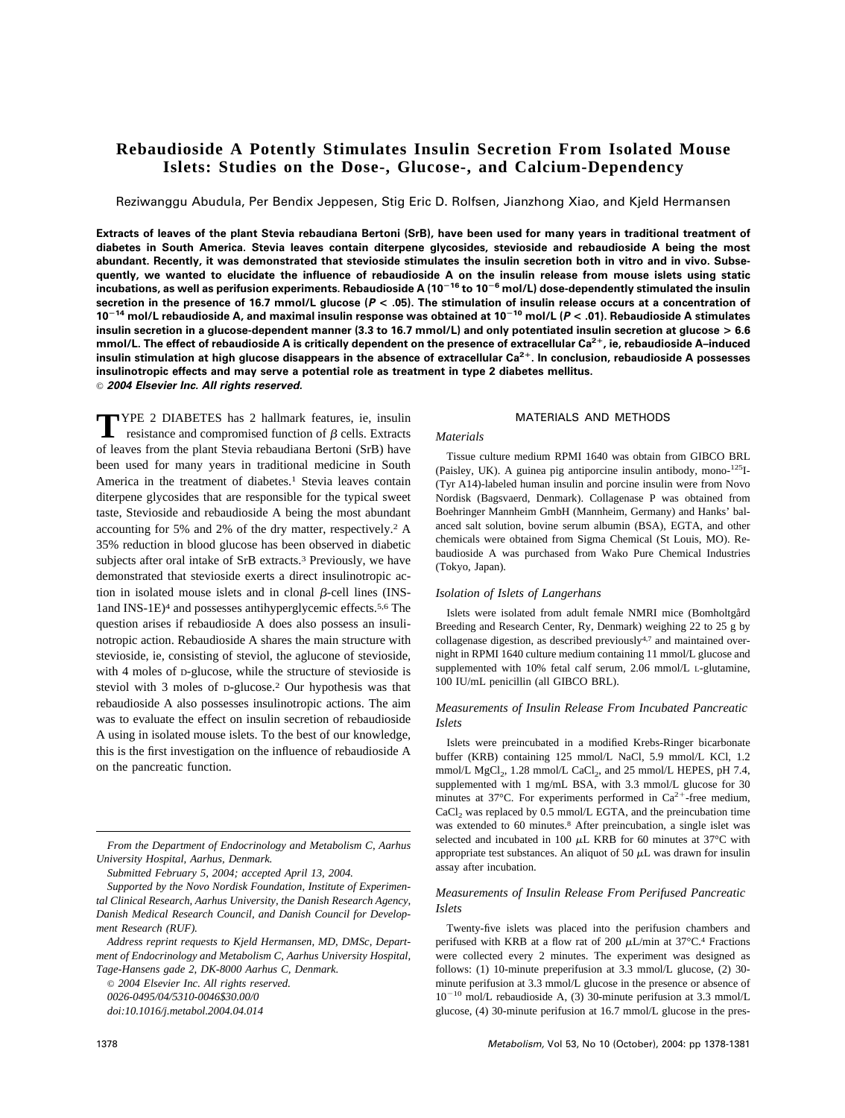# **Rebaudioside A Potently Stimulates Insulin Secretion From Isolated Mouse Islets: Studies on the Dose-, Glucose-, and Calcium-Dependency**

Reziwanggu Abudula, Per Bendix Jeppesen, Stig Eric D. Rolfsen, Jianzhong Xiao, and Kjeld Hermansen

**Extracts of leaves of the plant Stevia rebaudiana Bertoni (SrB), have been used for many years in traditional treatment of diabetes in South America. Stevia leaves contain diterpene glycosides, stevioside and rebaudioside A being the most abundant. Recently, it was demonstrated that stevioside stimulates the insulin secretion both in vitro and in vivo. Subsequently, we wanted to elucidate the influence of rebaudioside A on the insulin release from mouse islets using static incubations, as well as perifusion experiments. Rebaudioside A (10<sup>16</sup> to 10<sup>6</sup> mol/L) dose-dependently stimulated the insulin secretion in the presence of 16.7 mmol/L glucose (***P* **< .05). The stimulation of insulin release occurs at a concentration of 10<sup>14</sup> mol/L rebaudioside A, and maximal insulin response was obtained at 10<sup>10</sup> mol/L (***P* **< .01). Rebaudioside A stimulates insulin secretion in a glucose-dependent manner (3.3 to 16.7 mmol/L) and only potentiated insulin secretion at glucose > 6.6 mmol/L. The effect of rebaudioside A is critically dependent on the presence of extracellular Ca2**-**, ie, rebaudioside A–induced insulin stimulation at high glucose disappears in the absence of extracellular Ca2**-**. In conclusion, rebaudioside A possesses insulinotropic effects and may serve a potential role as treatment in type 2 diabetes mellitus.** © *2004 Elsevier Inc. All rights reserved.*

**T**YPE 2 DIABETES has 2 hallmark features, ie, insulin resistance and compromised function of  $\beta$  cells. Extracts of leaves from the plant Stevia rebaudiana Bertoni (SrB) have been used for many years in traditional medicine in South America in the treatment of diabetes.<sup>1</sup> Stevia leaves contain diterpene glycosides that are responsible for the typical sweet taste, Stevioside and rebaudioside A being the most abundant accounting for 5% and 2% of the dry matter, respectively.2 A 35% reduction in blood glucose has been observed in diabetic subjects after oral intake of SrB extracts.3 Previously, we have demonstrated that stevioside exerts a direct insulinotropic action in isolated mouse islets and in clonal  $\beta$ -cell lines (INS-1and INS-1E)4 and possesses antihyperglycemic effects.5,6 The question arises if rebaudioside A does also possess an insulinotropic action. Rebaudioside A shares the main structure with stevioside, ie, consisting of steviol, the aglucone of stevioside, with 4 moles of D-glucose, while the structure of stevioside is steviol with 3 moles of D-glucose.2 Our hypothesis was that rebaudioside A also possesses insulinotropic actions. The aim was to evaluate the effect on insulin secretion of rebaudioside A using in isolated mouse islets. To the best of our knowledge, this is the first investigation on the influence of rebaudioside A on the pancreatic function.

*From the Department of Endocrinology and Metabolism C, Aarhus University Hospital, Aarhus, Denmark.*

*Submitted February 5, 2004; accepted April 13, 2004.*

© *2004 Elsevier Inc. All rights reserved.*

*0026-0495/04/5310-0046\$30.00/0*

### MATERIALS AND METHODS

### *Materials*

Tissue culture medium RPMI 1640 was obtain from GIBCO BRL (Paisley, UK). A guinea pig antiporcine insulin antibody, mono-125I- (Tyr A14)-labeled human insulin and porcine insulin were from Novo Nordisk (Bagsvaerd, Denmark). Collagenase P was obtained from Boehringer Mannheim GmbH (Mannheim, Germany) and Hanks' balanced salt solution, bovine serum albumin (BSA), EGTA, and other chemicals were obtained from Sigma Chemical (St Louis, MO). Rebaudioside A was purchased from Wako Pure Chemical Industries (Tokyo, Japan).

### *Isolation of Islets of Langerhans*

Islets were isolated from adult female NMRI mice (Bomholtgård Breeding and Research Center, Ry, Denmark) weighing 22 to 25 g by collagenase digestion, as described previously<sup>4,7</sup> and maintained overnight in RPMI 1640 culture medium containing 11 mmol/L glucose and supplemented with 10% fetal calf serum, 2.06 mmol/L L-glutamine, 100 IU/mL penicillin (all GIBCO BRL).

# *Measurements of Insulin Release From Incubated Pancreatic Islets*

Islets were preincubated in a modified Krebs-Ringer bicarbonate buffer (KRB) containing 125 mmol/L NaCl, 5.9 mmol/L KCl, 1.2 mmol/L MgCl<sub>2</sub>, 1.28 mmol/L CaCl<sub>2</sub>, and 25 mmol/L HEPES, pH 7.4, supplemented with 1 mg/mL BSA, with 3.3 mmol/L glucose for 30 minutes at 37 $^{\circ}$ C. For experiments performed in Ca<sup>2+</sup>-free medium,  $CaCl<sub>2</sub>$  was replaced by 0.5 mmol/L EGTA, and the preincubation time was extended to 60 minutes.8 After preincubation, a single islet was selected and incubated in 100  $\mu$ L KRB for 60 minutes at 37°C with appropriate test substances. An aliquot of 50  $\mu$ L was drawn for insulin assay after incubation.

# *Measurements of Insulin Release From Perifused Pancreatic Islets*

Twenty-five islets was placed into the perifusion chambers and perifused with KRB at a flow rat of 200  $\mu$ L/min at 37°C.<sup>4</sup> Fractions were collected every 2 minutes. The experiment was designed as follows: (1) 10-minute preperifusion at 3.3 mmol/L glucose, (2) 30 minute perifusion at 3.3 mmol/L glucose in the presence or absence of  $10^{-10}$  mol/L rebaudioside A, (3) 30-minute perifusion at 3.3 mmol/L glucose, (4) 30-minute perifusion at 16.7 mmol/L glucose in the pres-

*Supported by the Novo Nordisk Foundation, Institute of Experimental Clinical Research, Aarhus University, the Danish Research Agency, Danish Medical Research Council, and Danish Council for Development Research (RUF).*

*Address reprint requests to Kjeld Hermansen, MD, DMSc, Department of Endocrinology and Metabolism C, Aarhus University Hospital, Tage-Hansens gade 2, DK-8000 Aarhus C, Denmark.*

*doi:10.1016/j.metabol.2004.04.014*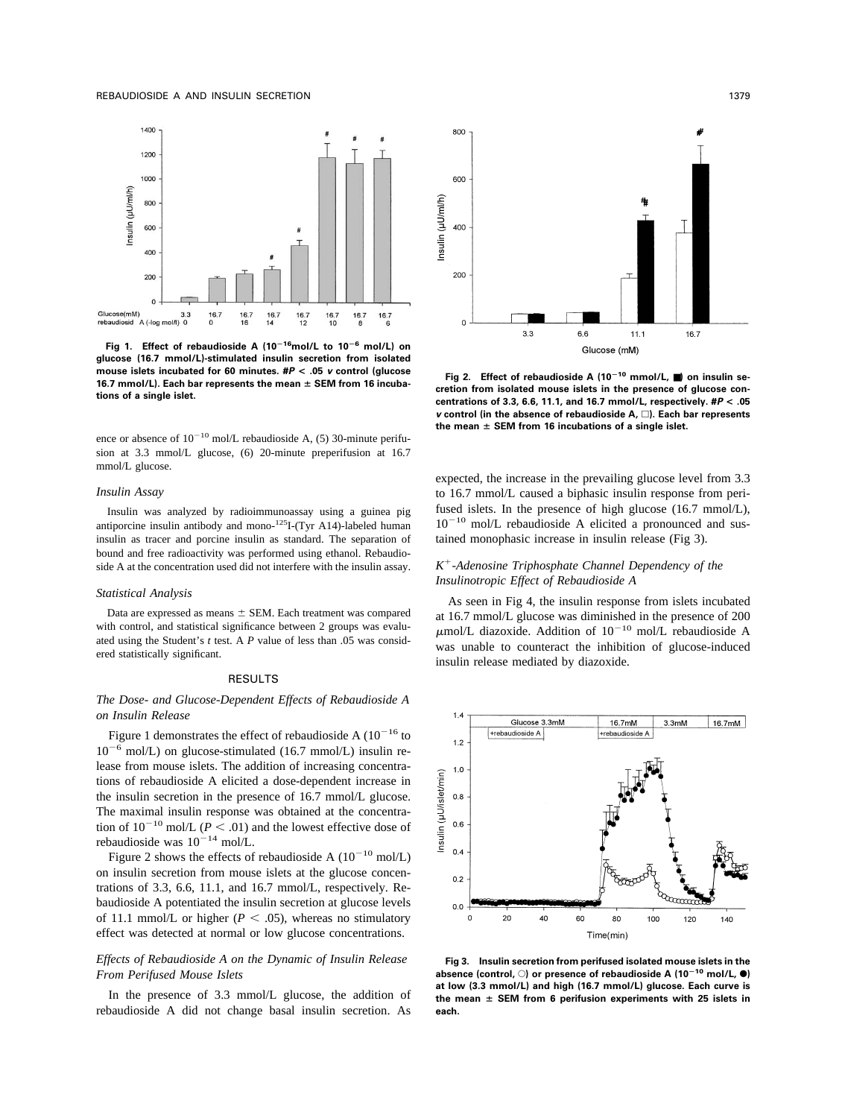

**Fig 1. Effect of rebaudioside A (1016mol/L to 10<sup>6</sup> mol/L) on glucose (16.7 mmol/L)-stimulated insulin secretion from isolated mouse islets incubated for 60 minutes. #***P* **< .05** *v* **control (glucose 16.7 mmol/L). Each bar represents the mean SEM from 16 incubations of a single islet.**

ence or absence of  $10^{-10}$  mol/L rebaudioside A, (5) 30-minute perifusion at 3.3 mmol/L glucose, (6) 20-minute preperifusion at 16.7 mmol/L glucose.

#### *Insulin Assay*

Insulin was analyzed by radioimmunoassay using a guinea pig antiporcine insulin antibody and mono- $125$ I-(Tyr A14)-labeled human insulin as tracer and porcine insulin as standard. The separation of bound and free radioactivity was performed using ethanol. Rebaudioside A at the concentration used did not interfere with the insulin assay.

#### *Statistical Analysis*

Data are expressed as means  $\pm$  SEM. Each treatment was compared with control, and statistical significance between 2 groups was evaluated using the Student's *t* test. A *P* value of less than .05 was considered statistically significant.

### RESULTS

# *The Dose- and Glucose-Dependent Effects of Rebaudioside A on Insulin Release*

Figure 1 demonstrates the effect of rebaudioside A  $(10^{-16}$  to  $10^{-6}$  mol/L) on glucose-stimulated (16.7 mmol/L) insulin release from mouse islets. The addition of increasing concentrations of rebaudioside A elicited a dose-dependent increase in the insulin secretion in the presence of 16.7 mmol/L glucose. The maximal insulin response was obtained at the concentration of  $10^{-10}$  mol/L ( $P < .01$ ) and the lowest effective dose of rebaudioside was  $10^{-14}$  mol/L.

Figure 2 shows the effects of rebaudioside A  $(10^{-10} \text{ mol/L})$ on insulin secretion from mouse islets at the glucose concentrations of 3.3, 6.6, 11.1, and 16.7 mmol/L, respectively. Rebaudioside A potentiated the insulin secretion at glucose levels of 11.1 mmol/L or higher ( $P < .05$ ), whereas no stimulatory effect was detected at normal or low glucose concentrations.

# *Effects of Rebaudioside A on the Dynamic of Insulin Release From Perifused Mouse Islets*

In the presence of 3.3 mmol/L glucose, the addition of rebaudioside A did not change basal insulin secretion. As



**Fig 2. Effect of rebaudioside A (10<sup>10</sup> mmol/L,** ■**) on insulin secretion from isolated mouse islets in the presence of glucose concentrations of 3.3, 6.6, 11.1, and 16.7 mmol/L, respectively. #***P* **< .05** *v* **control (in the absence of rebaudioside A, ). Each bar represents the mean SEM from 16 incubations of a single islet.**

expected, the increase in the prevailing glucose level from 3.3 to 16.7 mmol/L caused a biphasic insulin response from perifused islets. In the presence of high glucose (16.7 mmol/L), 10<sup>-10</sup> mol/L rebaudioside A elicited a pronounced and sustained monophasic increase in insulin release (Fig 3).

# *K-Adenosine Triphosphate Channel Dependency of the Insulinotropic Effect of Rebaudioside A*

As seen in Fig 4, the insulin response from islets incubated at 16.7 mmol/L glucose was diminished in the presence of 200  $\mu$ mol/L diazoxide. Addition of 10<sup>-10</sup> mol/L rebaudioside A was unable to counteract the inhibition of glucose-induced insulin release mediated by diazoxide.



**Fig 3. Insulin secretion from perifused isolated mouse islets in the absence (control,** E**) or presence of rebaudioside A (10<sup>10</sup> mol/L,** F**) at low (3.3 mmol/L) and high (16.7 mmol/L) glucose. Each curve is the mean SEM from 6 perifusion experiments with 25 islets in each.**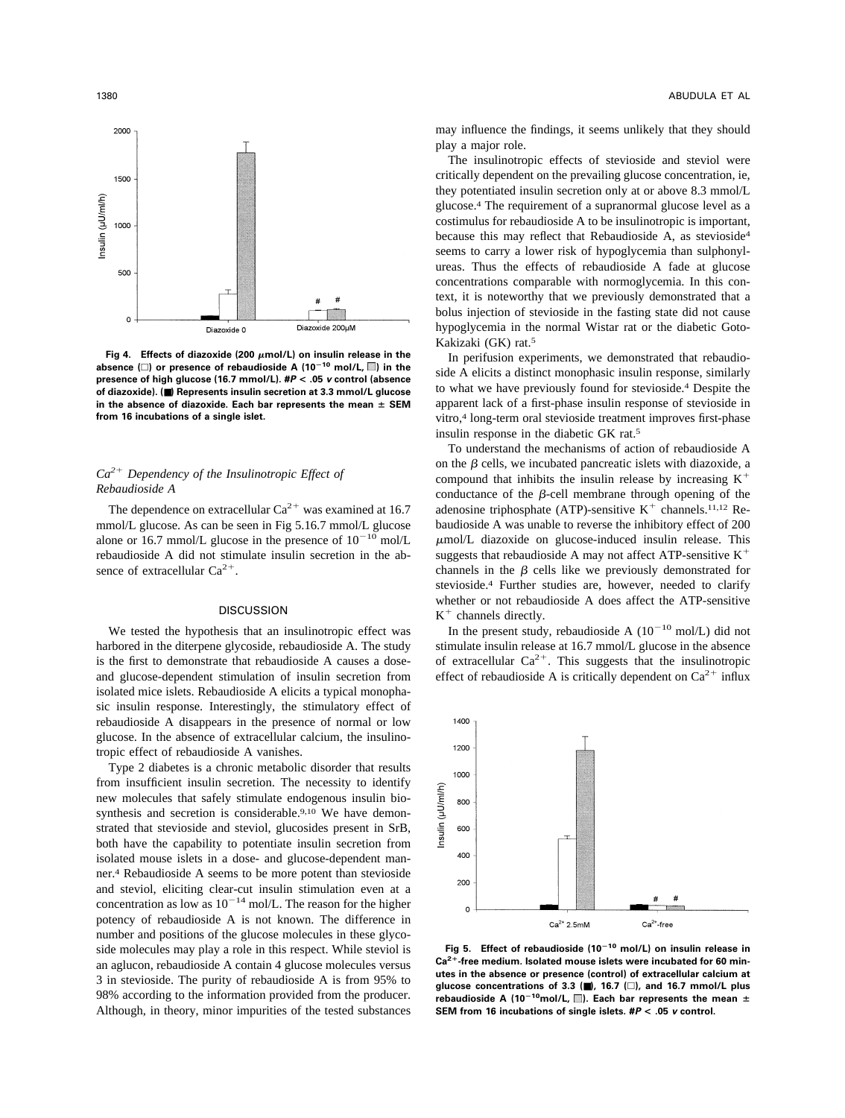

Fig 4. Effects of diazoxide (200  $\mu$ mol/L) on insulin release in the absence  $(\square)$  or presence of rebaudioside A  $(10^{-10} \text{ mol/L}, \square)$  in the **presence of high glucose (16.7 mmol/L). #***P* **< .05** *v* **control (absence of diazoxide). (**■**) Represents insulin secretion at 3.3 mmol/L glucose in the absence of diazoxide. Each bar represents the mean SEM from 16 incubations of a single islet.**

# *Ca2 Dependency of the Insulinotropic Effect of Rebaudioside A*

The dependence on extracellular  $Ca^{2+}$  was examined at 16.7 mmol/L glucose. As can be seen in Fig 5.16.7 mmol/L glucose alone or 16.7 mmol/L glucose in the presence of  $10^{-10}$  mol/L rebaudioside A did not stimulate insulin secretion in the absence of extracellular  $Ca^{2+}$ .

### **DISCUSSION**

We tested the hypothesis that an insulinotropic effect was harbored in the diterpene glycoside, rebaudioside A. The study is the first to demonstrate that rebaudioside A causes a doseand glucose-dependent stimulation of insulin secretion from isolated mice islets. Rebaudioside A elicits a typical monophasic insulin response. Interestingly, the stimulatory effect of rebaudioside A disappears in the presence of normal or low glucose. In the absence of extracellular calcium, the insulinotropic effect of rebaudioside A vanishes.

Type 2 diabetes is a chronic metabolic disorder that results from insufficient insulin secretion. The necessity to identify new molecules that safely stimulate endogenous insulin biosynthesis and secretion is considerable.<sup>9,10</sup> We have demonstrated that stevioside and steviol, glucosides present in SrB, both have the capability to potentiate insulin secretion from isolated mouse islets in a dose- and glucose-dependent manner.4 Rebaudioside A seems to be more potent than stevioside and steviol, eliciting clear-cut insulin stimulation even at a concentration as low as  $10^{-14}$  mol/L. The reason for the higher potency of rebaudioside A is not known. The difference in number and positions of the glucose molecules in these glycoside molecules may play a role in this respect. While steviol is an aglucon, rebaudioside A contain 4 glucose molecules versus 3 in stevioside. The purity of rebaudioside A is from 95% to 98% according to the information provided from the producer. Although, in theory, minor impurities of the tested substances may influence the findings, it seems unlikely that they should play a major role.

The insulinotropic effects of stevioside and steviol were critically dependent on the prevailing glucose concentration, ie, they potentiated insulin secretion only at or above 8.3 mmol/L glucose.4 The requirement of a supranormal glucose level as a costimulus for rebaudioside A to be insulinotropic is important, because this may reflect that Rebaudioside A, as stevioside4 seems to carry a lower risk of hypoglycemia than sulphonylureas. Thus the effects of rebaudioside A fade at glucose concentrations comparable with normoglycemia. In this context, it is noteworthy that we previously demonstrated that a bolus injection of stevioside in the fasting state did not cause hypoglycemia in the normal Wistar rat or the diabetic Goto-Kakizaki (GK) rat.5

In perifusion experiments, we demonstrated that rebaudioside A elicits a distinct monophasic insulin response, similarly to what we have previously found for stevioside.4 Despite the apparent lack of a first-phase insulin response of stevioside in vitro,4 long-term oral stevioside treatment improves first-phase insulin response in the diabetic GK rat.5

To understand the mechanisms of action of rebaudioside A on the  $\beta$  cells, we incubated pancreatic islets with diazoxide, a compound that inhibits the insulin release by increasing  $K^+$ conductance of the  $\beta$ -cell membrane through opening of the adenosine triphosphate (ATP)-sensitive  $K^+$  channels.<sup>11,12</sup> Rebaudioside A was unable to reverse the inhibitory effect of 200  $\mu$ mol/L diazoxide on glucose-induced insulin release. This suggests that rebaudioside A may not affect ATP-sensitive  $K^+$ channels in the  $\beta$  cells like we previously demonstrated for stevioside.4 Further studies are, however, needed to clarify whether or not rebaudioside A does affect the ATP-sensitive  $K<sup>+</sup>$  channels directly.

In the present study, rebaudioside A  $(10^{-10} \text{ mol/L})$  did not stimulate insulin release at 16.7 mmol/L glucose in the absence of extracellular  $Ca^{2+}$ . This suggests that the insulinotropic effect of rebaudioside A is critically dependent on  $Ca^{2+}$  influx



**Fig 5. Effect of rebaudioside (10<sup>10</sup> mol/L) on insulin release in Ca2**-**-free medium. Isolated mouse islets were incubated for 60 minutes in the absence or presence (control) of extracellular calcium at glucose concentrations of 3.3 (**■**), 16.7 (), and 16.7 mmol/L plus** rebaudioside A (10<sup>-10</sup>mol/L,  $\Box$ ). Each bar represents the mean  $\pm$ **SEM from 16 incubations of single islets. #***P* **< .05** *v* **control.**